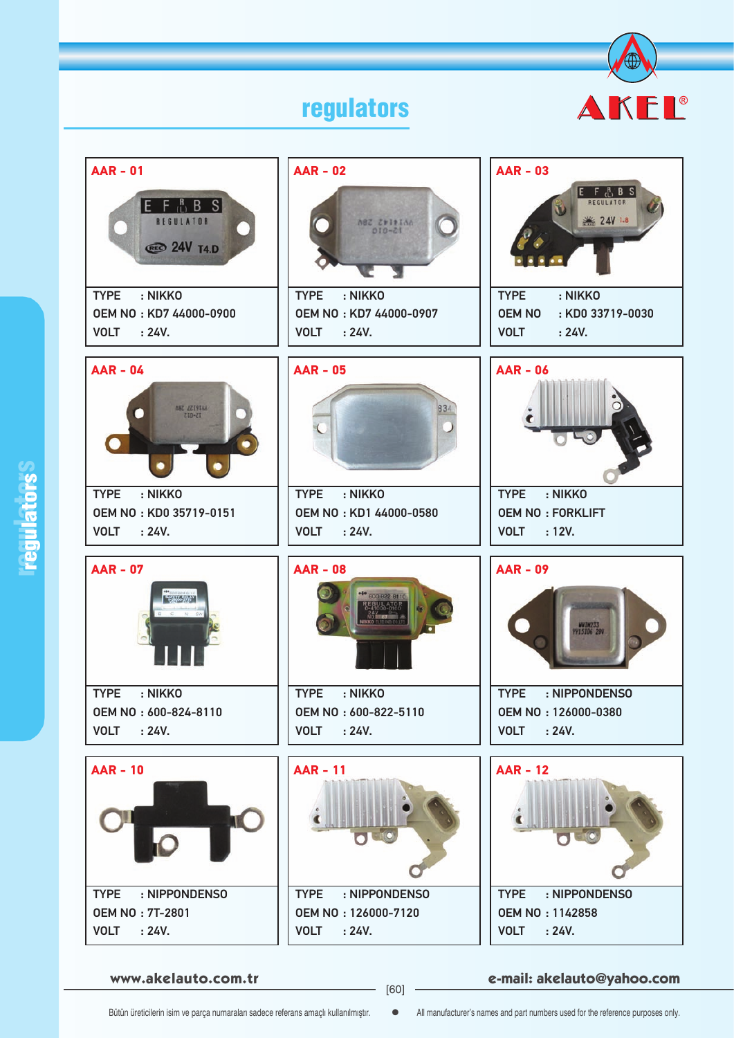## regulators





**www.akelauto.com.tr e-mail: akelauto@yahoo.com** [60]